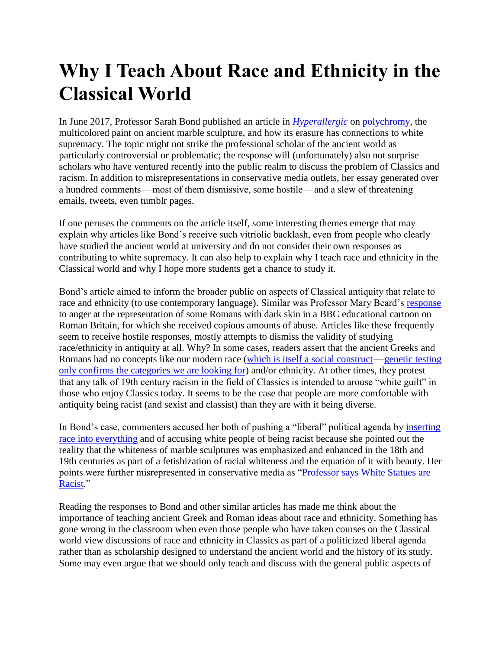## **Why I Teach About Race and Ethnicity in the Classical World**

In June 2017, Professor Sarah Bond published an article in *[Hyperallergic](https://hyperallergic.com/383776/why-we-need-to-start-seeing-the-classical-world-in-color/)* on [polychromy,](http://www.metmuseum.org/toah/hd/prms/hd_prms.htm) the multicolored paint on ancient marble sculpture, and how its erasure has connections to white supremacy. The topic might not strike the professional scholar of the ancient world as particularly controversial or problematic; the response will (unfortunately) also not surprise scholars who have ventured recently into the public realm to discuss the problem of Classics and racism. In addition to misrepresentations in conservative media outlets, her essay generated over a hundred comments — most of them dismissive, some hostile — and a slew of threatening emails, tweets, even tumblr pages.

If one peruses the comments on the article itself, some interesting themes emerge that may explain why articles like Bond's receive such vitriolic backlash, even from people who clearly have studied the ancient world at university and do not consider their own responses as contributing to white supremacy. It can also help to explain why I teach race and ethnicity in the Classical world and why I hope more students get a chance to study it.

Bond's article aimed to inform the broader public on aspects of Classical antiquity that relate to race and ethnicity (to use contemporary language). Similar was Professor Mary Beard's [response](https://www.theatlantic.com/science/archive/2017/08/dna-romans/535701/) to anger at the representation of some Romans with dark skin in a BBC educational cartoon on Roman Britain, for which she received copious amounts of abuse. Articles like these frequently seem to receive hostile responses, mostly attempts to dismiss the validity of studying race/ethnicity in antiquity at all. Why? In some cases, readers assert that the ancient Greeks and Romans had no concepts like our modern race [\(which is itself a social construct—](http://www.livinganthropologically.com/2012/02/18/race-is-a-social-construction/)genetic testing [only confirms the categories we are looking for\)](http://onlinelibrary.wiley.com/doi/10.1002/ajpa.21006/abstract) and/or ethnicity. At other times, they protest that any talk of 19th century racism in the field of Classics is intended to arouse "white guilt" in those who enjoy Classics today. It seems to be the case that people are more comfortable with antiquity being racist (and sexist and classist) than they are with it being diverse.

In Bond's case, commenters accused her both of pushing a "liberal" political agenda by [inserting](https://www.artforum.com/news/id=68963)  [race into everything](https://www.artforum.com/news/id=68963) and of accusing white people of being racist because she pointed out the reality that the whiteness of marble sculptures was emphasized and enhanced in the 18th and 19th centuries as part of a fetishization of racial whiteness and the equation of it with beauty. Her points were further misrepresented in conservative media as ["Professor says White Statues are](http://www.theblaze.com/news/2017/06/08/college-professor-says-white-marble-statues-promote-racism/)  [Racist.](http://www.theblaze.com/news/2017/06/08/college-professor-says-white-marble-statues-promote-racism/)"

Reading the responses to Bond and other similar articles has made me think about the importance of teaching ancient Greek and Roman ideas about race and ethnicity. Something has gone wrong in the classroom when even those people who have taken courses on the Classical world view discussions of race and ethnicity in Classics as part of a politicized liberal agenda rather than as scholarship designed to understand the ancient world and the history of its study. Some may even argue that we should only teach and discuss with the general public aspects of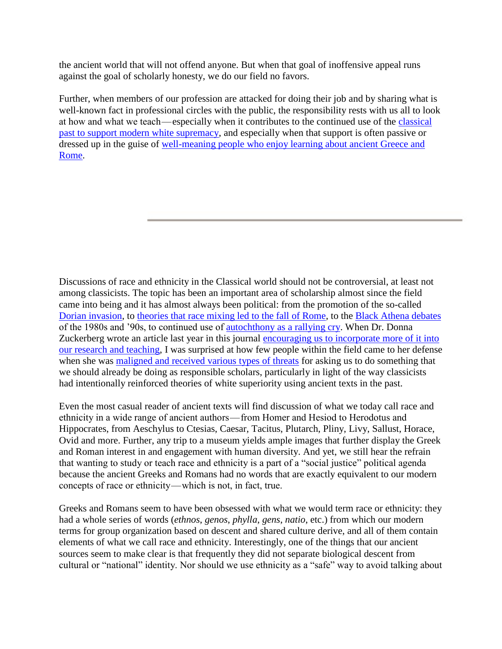the ancient world that will not offend anyone. But when that goal of inoffensive appeal runs against the goal of scholarly honesty, we do our field no favors.

Further, when members of our profession are attacked for doing their job and by sharing what is well-known fact in professional circles with the public, the responsibility rests with us all to look at how and what we teach —especially when it contributes to the continued use of the [classical](https://www.insidehighered.com/news/2017/08/14/white-supremacy-turning-campus-speeches-and-leaflets)  [past to support modern white supremacy,](https://www.insidehighered.com/news/2017/08/14/white-supremacy-turning-campus-speeches-and-leaflets) and especially when that support is often passive or dressed up in the guise of [well-meaning people who enjoy learning about ancient Greece and](https://eidolon.pub/fragile-handle-with-care-66848145cf29)  [Rome.](https://eidolon.pub/fragile-handle-with-care-66848145cf29)

Discussions of race and ethnicity in the Classical world should not be controversial, at least not among classicists. The topic has been an important area of scholarship almost since the field came into being and it has almost always been political: from the promotion of the so-called [Dorian invasion,](https://en.wikipedia.org/wiki/Dorian_invasion) to [theories that race mixing led to the fall of Rome,](http://onlinelibrary.wiley.com/store/10.1111/j.1601-5223.1921.tb02635.x/asset/j.1601-5223.1921.tb02635.x.pdf;jsessionid=D921D14C59DB0A1175EB279ADD344E38.f04t01?v=1&t=j4x0kgm8&s=3ba871deefb404b3a11d66a12f7faee1f69fd4ee) to the [Black Athena debates](https://eidolon.pub/black-athena-30-years-on-5a78253028cc) of the 1980s and '90s, to continued use of <u>autochthony as a rallying cry</u>. When Dr. Donna Zuckerberg wrote an article last year in this journal [encouraging us to incorporate more of it into](https://eidolon.pub/how-to-be-a-good-classicist-under-a-bad-emperor-6b848df6e54a)  [our research and teaching,](https://eidolon.pub/how-to-be-a-good-classicist-under-a-bad-emperor-6b848df6e54a) I was surprised at how few people within the field came to her defense when she was [maligned and received various types of threats](https://eidolon.pub/after-the-manifesto-a2d772f54868) for asking us to do something that we should already be doing as responsible scholars, particularly in light of the way classicists had intentionally reinforced theories of white superiority using ancient texts in the past.

Even the most casual reader of ancient texts will find discussion of what we today call race and ethnicity in a wide range of ancient authors — from Homer and Hesiod to Herodotus and Hippocrates, from Aeschylus to Ctesias, Caesar, Tacitus, Plutarch, Pliny, Livy, Sallust, Horace, Ovid and more. Further, any trip to a museum yields ample images that further display the Greek and Roman interest in and engagement with human diversity. And yet, we still hear the refrain that wanting to study or teach race and ethnicity is a part of a "social justice" political agenda because the ancient Greeks and Romans had no words that are exactly equivalent to our modern concepts of race or ethnicity — which is not, in fact, true.

Greeks and Romans seem to have been obsessed with what we would term race or ethnicity: they had a whole series of words (*ethnos*, *genos*, *phylla*, *gens*, *natio*, etc.) from which our modern terms for group organization based on descent and shared culture derive, and all of them contain elements of what we call race and ethnicity. Interestingly, one of the things that our ancient sources seem to make clear is that frequently they did not separate biological descent from cultural or "national" identity. Nor should we use ethnicity as a "safe" way to avoid talking about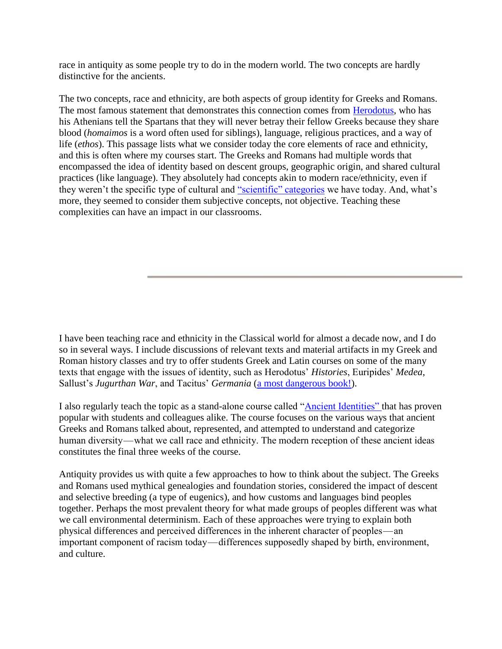race in antiquity as some people try to do in the modern world. The two concepts are hardly distinctive for the ancients.

The two concepts, race and ethnicity, are both aspects of group identity for Greeks and Romans. The most famous statement that demonstrates this connection comes from [Herodotus,](http://www.perseus.tufts.edu/hopper/text?doc=Hdt.+8.144&fromdoc=Perseus%3Atext%3A1999.01.0126) who has his Athenians tell the Spartans that they will never betray their fellow Greeks because they share blood (*homaimos* is a word often used for siblings), language, religious practices, and a way of life (*ethos*). This passage lists what we consider today the core elements of race and ethnicity, and this is often where my courses start. The Greeks and Romans had multiple words that encompassed the idea of identity based on descent groups, geographic origin, and shared cultural practices (like language). They absolutely had concepts akin to modern race/ethnicity, even if they weren't the specific type of cultural and ["scientific" categories](http://www.livinganthropologically.com/biological-anthropology/race-reconciled-debunks-race/) we have today. And, what's more, they seemed to consider them subjective concepts, not objective. Teaching these complexities can have an impact in our classrooms.

I have been teaching race and ethnicity in the Classical world for almost a decade now, and I do so in several ways. I include discussions of relevant texts and material artifacts in my Greek and Roman history classes and try to offer students Greek and Latin courses on some of the many texts that engage with the issues of identity, such as Herodotus' *Histories*, Euripides' *Medea*, Sallust's *Jugurthan War*, and Tacitus' *Germania* [\(a most dangerous book!\)](https://www.washingtonpost.com/entertainment/books/a-most-dangerous-book-only-in-the-eye-of-the-reader/2011/07/01/gIQAOrwS1H_story.html?utm_term=.3a163469e635).

I also regularly teach the topic as a stand-alone course called ["Ancient Identities" t](https://rfkclassics.blogspot.com/p/teaching-race-and-ethnicity.html)hat has proven popular with students and colleagues alike. The course focuses on the various ways that ancient Greeks and Romans talked about, represented, and attempted to understand and categorize human diversity—what we call race and ethnicity. The modern reception of these ancient ideas constitutes the final three weeks of the course.

Antiquity provides us with quite a few approaches to how to think about the subject. The Greeks and Romans used mythical genealogies and foundation stories, considered the impact of descent and selective breeding (a type of eugenics), and how customs and languages bind peoples together. Perhaps the most prevalent theory for what made groups of peoples different was what we call environmental determinism. Each of these approaches were trying to explain both physical differences and perceived differences in the inherent character of peoples — an important component of racism today — differences supposedly shaped by birth, environment, and culture.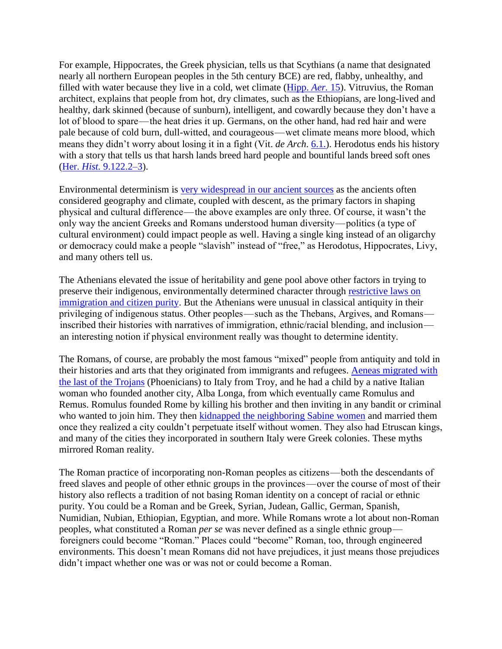For example, Hippocrates, the Greek physician, tells us that Scythians (a name that designated nearly all northern European peoples in the 5th century BCE) are red, flabby, unhealthy, and filled with water because they live in a cold, wet climate [\(Hipp.](http://data.perseus.org/citations/urn:cts:greekLit:tlg0627.tlg002.perseus-eng2:15) *Aer.* 15). Vitruvius, the Roman architect, explains that people from hot, dry climates, such as the Ethiopians, are long-lived and healthy, dark skinned (because of sunburn), intelligent, and cowardly because they don't have a lot of blood to spare—the heat dries it up. Germans, on the other hand, had red hair and were pale because of cold burn, dull-witted, and courageous — wet climate means more blood, which means they didn't worry about losing it in a fight (Vit. *de Arch*. [6.1.\)](http://data.perseus.org/citations/urn:cts:latinLit:phi1056.phi001.perseus-eng1:6.1.1). Herodotus ends his history with a story that tells us that harsh lands breed hard people and bountiful lands breed soft ones (Her. *Hist.* [9.122.2–3\)](http://www.perseus.tufts.edu/hopper/text?doc=Perseus%3Atext%3A1999.01.0126%3Abook%3D9%3Achapter%3D122%3Asection%3D2).

Environmental determinism is [very widespread in our ancient sources](https://eidolon.pub/a-race-to-the-rational-70e06cf46c1e) as the ancients often considered geography and climate, coupled with descent, as the primary factors in shaping physical and cultural difference — the above examples are only three. Of course, it wasn't the only way the ancient Greeks and Romans understood human diversity — politics (a type of cultural environment) could impact people as well. Having a single king instead of an oligarchy or democracy could make a people "slavish" instead of "free," as Herodotus, Hippocrates, Livy, and many others tell us.

The Athenians elevated the issue of heritability and gene pool above other factors in trying to preserve their indigenous, environmentally determined character through [restrictive laws on](https://eidolon.pub/we-condone-it-by-our-silence-bea76fb59b21)  [immigration and citizen purity.](https://eidolon.pub/we-condone-it-by-our-silence-bea76fb59b21) But the Athenians were unusual in classical antiquity in their privileging of indigenous status. Other peoples—such as the Thebans, Argives, and Romans inscribed their histories with narratives of immigration, ethnic/racial blending, and inclusion  an interesting notion if physical environment really was thought to determine identity.

The Romans, of course, are probably the most famous "mixed" people from antiquity and told in their histories and arts that they originated from immigrants and refugees. [Aeneas migrated with](https://www.the-romans.co.uk/legends.htm)  [the last of the Trojans](https://www.the-romans.co.uk/legends.htm) (Phoenicians) to Italy from Troy, and he had a child by a native Italian woman who founded another city, Alba Longa, from which eventually came Romulus and Remus. Romulus founded Rome by killing his brother and then inviting in any bandit or criminal who wanted to join him. They then [kidnapped the neighboring Sabine women](http://www.stoa.org/diotima/anthology/wlgr/wlgr-privatelife233.shtml) and married them once they realized a city couldn't perpetuate itself without women. They also had Etruscan kings, and many of the cities they incorporated in southern Italy were Greek colonies. These myths mirrored Roman reality.

The Roman practice of incorporating non-Roman peoples as citizens — both the descendants of freed slaves and people of other ethnic groups in the provinces—over the course of most of their history also reflects a tradition of not basing Roman identity on a concept of racial or ethnic purity. You could be a Roman and be Greek, Syrian, Judean, Gallic, German, Spanish, Numidian, Nubian, Ethiopian, Egyptian, and more. While Romans wrote a lot about non-Roman peoples, what constituted a Roman *per se* was never defined as a single ethnic group   foreigners could become "Roman." Places could "become" Roman, too, through engineered environments. This doesn't mean Romans did not have prejudices, it just means those prejudices didn't impact whether one was or was not or could become a Roman.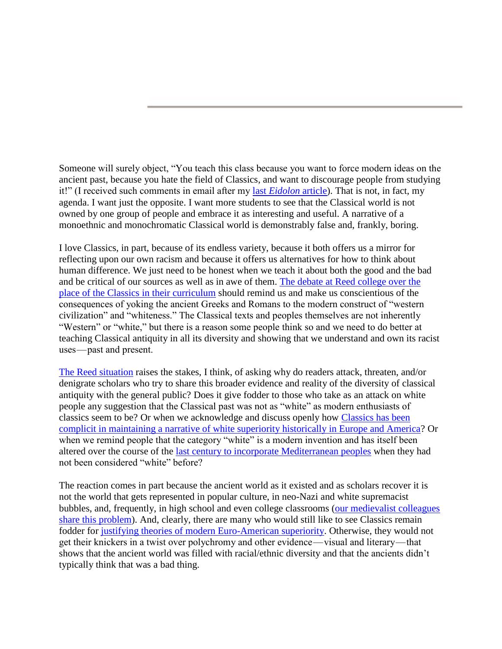Someone will surely object, "You teach this class because you want to force modern ideas on the ancient past, because you hate the field of Classics, and want to discourage people from studying it!" (I received such comments in email after my last *[Eidolon](https://eidolon.pub/we-condone-it-by-our-silence-bea76fb59b21)* article). That is not, in fact, my agenda. I want just the opposite. I want more students to see that the Classical world is not owned by one group of people and embrace it as interesting and useful. A narrative of a monoethnic and monochromatic Classical world is demonstrably false and, frankly, boring.

I love Classics, in part, because of its endless variety, because it both offers us a mirror for reflecting upon our own racism and because it offers us alternatives for how to think about human difference. We just need to be honest when we teach it about both the good and the bad and be critical of our sources as well as in awe of them. [The debate at Reed college over the](https://www.youtube.com/watch?v=mg3i6-J6zI8)  [place of the Classics in their curriculum](https://www.youtube.com/watch?v=mg3i6-J6zI8) should remind us and make us conscientious of the consequences of yoking the ancient Greeks and Romans to the modern construct of "western civilization" and "whiteness." The Classical texts and peoples themselves are not inherently "Western" or "white," but there is a reason some people think so and we need to do better at teaching Classical antiquity in all its diversity and showing that we understand and own its racist uses — past and present.

[The Reed situation](https://www.insidehighered.com/news/2017/09/11/reed-college-course-lectures-canceled-after-student-protesters-interrupt-class) raises the stakes, I think, of asking why do readers attack, threaten, and/or denigrate scholars who try to share this broader evidence and reality of the diversity of classical antiquity with the general public? Does it give fodder to those who take as an attack on white people any suggestion that the Classical past was not as "white" as modern enthusiasts of classics seem to be? Or when we acknowledge and discuss openly how [Classics has been](https://classicssocialjustice.wordpress.com/2017/09/05/classicssowhite/) [complicit in maintaining a narrative of white superiority historically in Europe and America?](https://classicssocialjustice.wordpress.com/2017/09/05/classicssowhite/) Or when we remind people that the category "white" is a modern invention and has itself been altered over the course of the [last century to incorporate Mediterranean peoples](http://rfkclassics.blogspot.com/2017/08/how-is-ancient-mediterranean-diverse-if.html) when they had not been considered "white" before?

The reaction comes in part because the ancient world as it existed and as scholars recover it is not the world that gets represented in popular culture, in neo-Nazi and white supremacist bubbles, and, frequently, in high school and even college classrooms [\(our medievalist colleagues](https://www.publicmedievalist.com/dark-enlightenment/)  [share this problem\)](https://www.publicmedievalist.com/dark-enlightenment/). And, clearly, there are many who would still like to see Classics remain fodder for [justifying theories of modern Euro-American superiority.](https://eidolon.pub/classics-beyond-the-pale-534bdbb3601b) Otherwise, they would not get their knickers in a twist over polychromy and other evidence — visual and literary — that shows that the ancient world was filled with racial/ethnic diversity and that the ancients didn't typically think that was a bad thing.